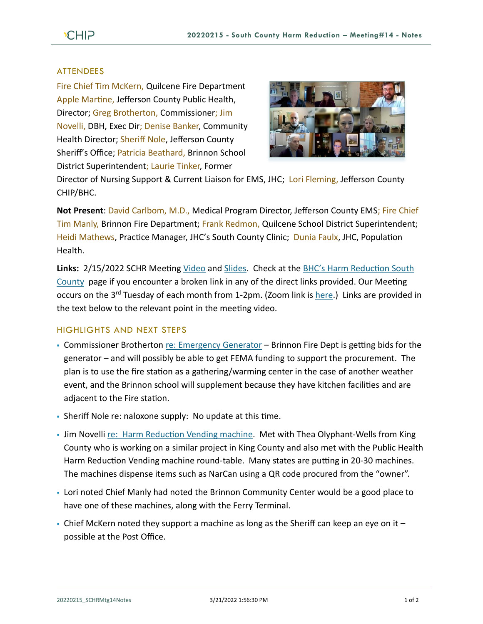## ATTENDEES

Fire Chief Tim McKern, Quilcene Fire Department Apple Martine, Jefferson County Public Health, Director; Greg Brotherton, Commissioner; Jim Novelli, DBH, Exec Dir; Denise Banker, Community Health Director; Sheriff Nole, Jefferson County Sheriff's Office; Patricia Beathard, Brinnon School District Superintendent; Laurie Tinker, Former



Director of Nursing Support & Current Liaison for EMS, JHC; Lori Fleming, Jefferson County CHIP/BHC.

**Not Present**: David Carlbom, M.D., Medical Program Director, Jefferson County EMS; Fire Chief Tim Manly, Brinnon Fire Department; Frank Redmon, Quilcene School District Superintendent; Heidi Mathews, Practice Manager, JHC's South County Clinic; Dunia Faulx, JHC, Population Health.

**Links:** 2/15/2022 SCHR Meeting [Video](https://www.youtube.com/watch?v=E3oSWlV9y4E) and [Slides.](https://www.behealthyjefferson.com/_files/ugd/2fdcdd_51ccb063c43942c6b6b0d65879d75982.pdf) Check at the [BHC's Harm Reduction South](https://www.behealthyjefferson.com/bhcharmreduction)  [County](https://www.behealthyjefferson.com/bhcharmreduction) page if you encounter a broken link in any of the direct links provided. Our Meeting occurs on the 3<sup>rd</sup> Tuesday of each month from 1-2pm. (Zoom link is [here.](https://zoom.us/j/97908186807?pwd=QTFtTTNJRkFnRzJwZ1poK2lvcWxUdz09)) Links are provided in the text below to the relevant point in the meeting video.

## HIGHLIGHTS AND NEXT STEPS

- Commissioner Brotherton [re: Emergency Generator](https://youtu.be/E3oSWlV9y4E?t=72) Brinnon Fire Dept is getting bids for the generator – and will possibly be able to get FEMA funding to support the procurement. The plan is to use the fire station as a gathering/warming center in the case of another weather event, and the Brinnon school will supplement because they have kitchen facilities and are adjacent to the Fire station.
- Sheriff Nole re: naloxone supply: No update at this time.
- Jim Novelli [re: Harm Reduction Vending machine.](https://youtu.be/E3oSWlV9y4E?t=260) Met with Thea Olyphant-Wells from King County who is working on a similar project in King County and also met with the Public Health Harm Reduction Vending machine round-table. Many states are putting in 20-30 machines. The machines dispense items such as NarCan using a QR code procured from the "owner".
- Lori noted Chief Manly had noted the Brinnon Community Center would be a good place to have one of these machines, along with the Ferry Terminal.
- $\blacksquare$  Chief McKern noted they support a machine as long as the Sheriff can keep an eye on it  $$ possible at the Post Office.